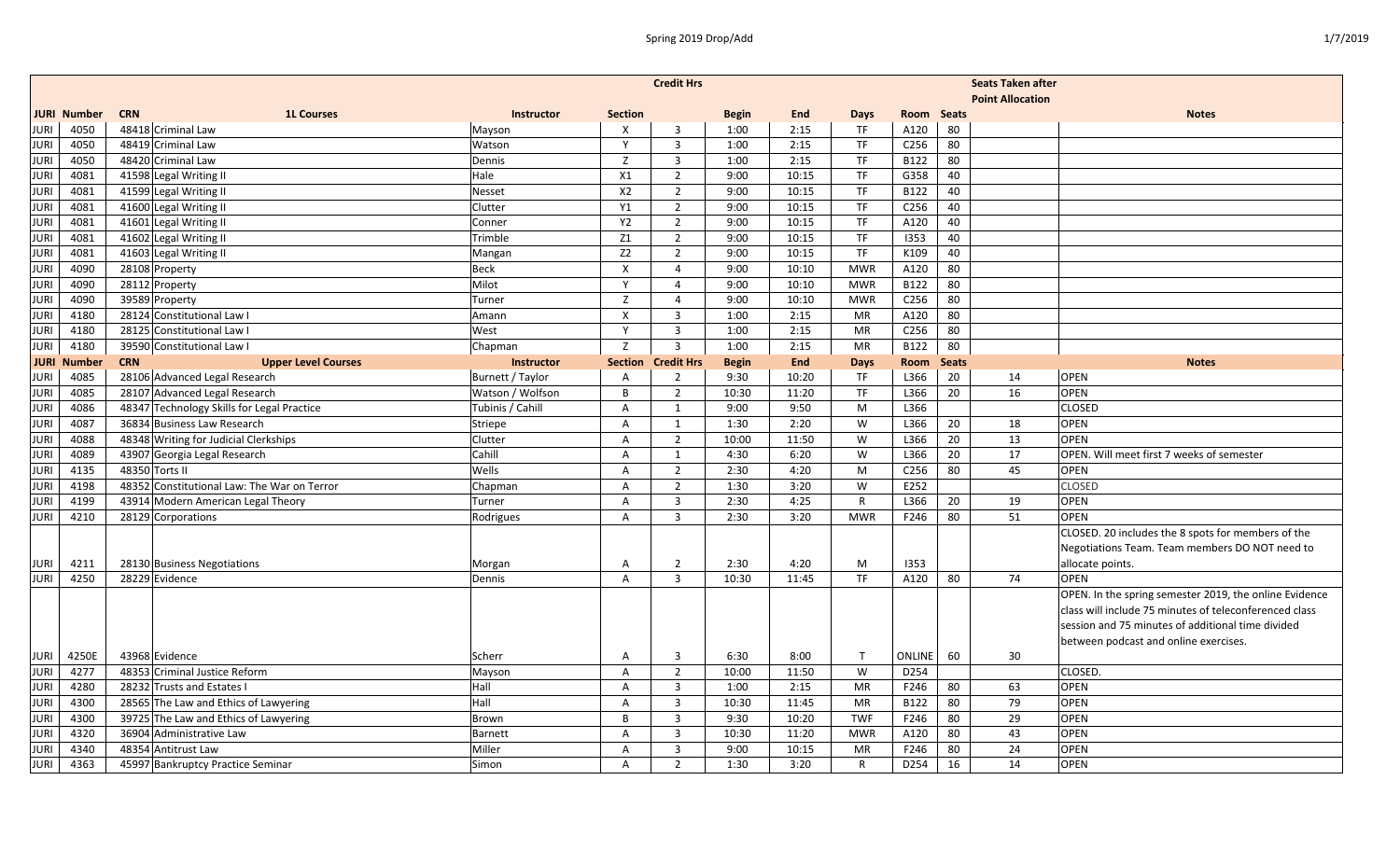|             | <b>Credit Hrs</b><br><b>Seats Taken after</b> |                                             |                  |                           |                         |              |            |                         |                  |              |    |                                                        |  |
|-------------|-----------------------------------------------|---------------------------------------------|------------------|---------------------------|-------------------------|--------------|------------|-------------------------|------------------|--------------|----|--------------------------------------------------------|--|
|             |                                               |                                             |                  |                           |                         |              |            | <b>Point Allocation</b> |                  |              |    |                                                        |  |
|             | <b>JURI Number</b>                            | <b>CRN</b><br><b>1L Courses</b>             | Instructor       | <b>Section</b>            |                         | <b>Begin</b> | <b>End</b> | <b>Days</b>             | Room             | <b>Seats</b> |    | <b>Notes</b>                                           |  |
| <b>JURI</b> | 4050                                          | 48418 Criminal Law                          | Mayson           | $\boldsymbol{\mathsf{X}}$ | $\overline{\mathbf{3}}$ | 1:00         | 2:15       | <b>TF</b>               | A120             | 80           |    |                                                        |  |
| <b>JURI</b> | 4050                                          | 48419 Criminal Law                          | Watson           | Y                         | $\overline{3}$          | 1:00         | 2:15       | <b>TF</b>               | C <sub>256</sub> | 80           |    |                                                        |  |
| <b>JURI</b> | 4050                                          | 48420 Criminal Law                          | Dennis           | Z                         | $\overline{3}$          | 1:00         | 2:15       | TF.                     | B122             | 80           |    |                                                        |  |
| <b>JURI</b> | 4081                                          | 41598 Legal Writing II                      | Hale             | X1                        | $\overline{2}$          | 9:00         | 10:15      | <b>TF</b>               | G358             | 40           |    |                                                        |  |
| <b>JURI</b> | 4081                                          | 41599 Legal Writing II                      | Nesset           | X2                        | $\overline{2}$          | 9:00         | 10:15      | <b>TF</b>               | B122             | 40           |    |                                                        |  |
| JURI        | 4081                                          | 41600 Legal Writing II                      | Clutter          | Y1                        | $\overline{2}$          | 9:00         | 10:15      | <b>TF</b>               | C256             | 40           |    |                                                        |  |
| <b>JURI</b> | 4081                                          | 41601 Legal Writing II                      | Conner           | <b>Y2</b>                 | $\overline{2}$          | 9:00         | 10:15      | <b>TF</b>               | A120             | 40           |    |                                                        |  |
| JURI        | 4081                                          | 41602 Legal Writing II                      | Trimble          | Z1                        | $\overline{2}$          | 9:00         | 10:15      | <b>TF</b>               | 1353             | 40           |    |                                                        |  |
| <b>JURI</b> | 4081                                          | 41603 Legal Writing II                      | Mangan           | Z <sub>2</sub>            | $\overline{2}$          | 9:00         | 10:15      | <b>TF</b>               | K109             | 40           |    |                                                        |  |
| <b>JURI</b> | 4090                                          | 28108 Property                              | <b>Beck</b>      | $\boldsymbol{\mathsf{X}}$ | $\overline{4}$          | 9:00         | 10:10      | <b>MWR</b>              | A120             | 80           |    |                                                        |  |
| <b>JURI</b> | 4090                                          | 28112 Property                              | Milot            | <sup>V</sup>              | $\overline{4}$          | 9:00         | 10:10      | <b>MWR</b>              | B122             | 80           |    |                                                        |  |
| <b>JURI</b> | 4090                                          | 39589 Property                              | Turner           | Z                         | $\overline{4}$          | 9:00         | 10:10      | <b>MWR</b>              | C <sub>256</sub> | 80           |    |                                                        |  |
| <b>JURI</b> | 4180                                          | 28124 Constitutional Law I                  | Amann            | X                         | $\overline{3}$          | 1:00         | 2:15       | MR                      | A120             | 80           |    |                                                        |  |
| <b>JURI</b> | 4180                                          | 28125 Constitutional Law I                  | West             | Y                         | $\overline{\mathbf{3}}$ | 1:00         | 2:15       | <b>MR</b>               | C256             | 80           |    |                                                        |  |
| JURI        | 4180                                          | 39590 Constitutional Law I                  | Chapman          | Z                         | $\overline{3}$          | 1:00         | 2:15       | MR                      | B122             | 80           |    |                                                        |  |
|             | JURI Number                                   | <b>CRN</b><br><b>Upper Level Courses</b>    | Instructor       | <b>Section</b>            | <b>Credit Hrs</b>       | <b>Begin</b> | <b>End</b> | <b>Days</b>             | <b>Room</b>      | <b>Seats</b> |    | <b>Notes</b>                                           |  |
| <b>JURI</b> | 4085                                          | 28106 Advanced Legal Research               | Burnett / Taylor | $\overline{A}$            | 2                       | 9:30         | 10:20      | <b>TF</b>               | L366             | 20           | 14 | <b>OPEN</b>                                            |  |
| <b>JURI</b> | 4085                                          | 28107 Advanced Legal Research               | Watson / Wolfson | B                         | $\overline{2}$          | 10:30        | 11:20      | <b>TF</b>               | L366             | 20           | 16 | <b>OPEN</b>                                            |  |
| <b>JURI</b> | 4086                                          | 48347 Technology Skills for Legal Practice  | Tubinis / Cahill | A                         | 1                       | 9:00         | 9:50       | M                       | L366             |              |    | <b>CLOSED</b>                                          |  |
| <b>JURI</b> | 4087                                          | 36834 Business Law Research                 | Striepe          | $\mathsf{A}$              | 1                       | 1:30         | 2:20       | W                       | L366             | 20           | 18 | OPEN                                                   |  |
| <b>JURI</b> | 4088                                          | 48348 Writing for Judicial Clerkships       | Clutter          | $\mathsf{A}$              | $\overline{2}$          | 10:00        | 11:50      | W                       | L366             | 20           | 13 | <b>OPEN</b>                                            |  |
| <b>JURI</b> | 4089                                          | 43907 Georgia Legal Research                | Cahill           | $\overline{A}$            | 1                       | 4:30         | 6:20       | W                       | L366             | 20           | 17 | OPEN. Will meet first 7 weeks of semester              |  |
| JURI        | 4135                                          | 48350 Torts II                              | Wells            | $\overline{A}$            | $\overline{2}$          | 2:30         | 4:20       | M                       | C256             | 80           | 45 | <b>OPEN</b>                                            |  |
| <b>JURI</b> | 4198                                          | 48352 Constitutional Law: The War on Terror | Chapman          | $\mathsf{A}$              | $\overline{2}$          | 1:30         | 3:20       | W                       | E252             |              |    | <b>CLOSED</b>                                          |  |
| <b>JURI</b> | 4199                                          | 43914 Modern American Legal Theory          | Turner           | $\mathsf{A}$              | $\overline{3}$          | 2:30         | 4:25       | $\mathsf{R}$            | L366             | 20           | 19 | OPEN                                                   |  |
| <b>JURI</b> | 4210                                          | 28129 Corporations                          | Rodrigues        | $\overline{A}$            | $\overline{3}$          | 2:30         | 3:20       | <b>MWR</b>              | F246             | 80           | 51 | <b>OPEN</b>                                            |  |
|             |                                               |                                             |                  |                           |                         |              |            |                         |                  |              |    | CLOSED. 20 includes the 8 spots for members of the     |  |
|             |                                               |                                             |                  |                           |                         |              |            |                         |                  |              |    | Negotiations Team. Team members DO NOT need to         |  |
| <b>JURI</b> | 4211                                          | 28130 Business Negotiations                 | Morgan           | A                         | 2                       | 2:30         | 4:20       | М                       | 1353             |              |    | allocate points.                                       |  |
| <b>JURI</b> | 4250                                          | 28229 Evidence                              | Dennis           | $\overline{A}$            | $\overline{3}$          | 10:30        | 11:45      | <b>TF</b>               | A120             | 80           | 74 | <b>OPEN</b>                                            |  |
|             |                                               |                                             |                  |                           |                         |              |            |                         |                  |              |    | OPEN. In the spring semester 2019, the online Evidence |  |
|             |                                               |                                             |                  |                           |                         |              |            |                         |                  |              |    | class will include 75 minutes of teleconferenced class |  |
|             |                                               |                                             |                  |                           |                         |              |            |                         |                  |              |    | session and 75 minutes of additional time divided      |  |
|             |                                               |                                             |                  |                           |                         |              |            |                         |                  |              |    | between podcast and online exercises.                  |  |
| <b>JURI</b> | 4250E                                         | 43968 Evidence                              | Scherr           | Α                         | $\overline{\mathbf{3}}$ | 6:30         | 8:00       | $\mathsf{T}$            | ONLINE           | 60           | 30 |                                                        |  |
| <b>JURI</b> | 4277                                          | 48353 Criminal Justice Reform               | Mayson           | $\overline{A}$            | $\overline{2}$          | 10:00        | 11:50      | W                       | D254             |              |    | CLOSED.                                                |  |
| <b>JURI</b> | 4280                                          | 28232 Trusts and Estates I                  | Hall             | $\mathsf{A}$              | $\overline{3}$          | 1:00         | 2:15       | <b>MR</b>               | F246             | 80           | 63 | OPEN                                                   |  |
| <b>JURI</b> | 4300                                          | 28565 The Law and Ethics of Lawyering       | Hall             | $\overline{A}$            | $\overline{3}$          | 10:30        | 11:45      | <b>MR</b>               | B122             | 80           | 79 | <b>OPEN</b>                                            |  |
| <b>JURI</b> | 4300                                          | 39725 The Law and Ethics of Lawyering       | Brown            | B                         | $\overline{\mathbf{3}}$ | 9:30         | 10:20      | <b>TWF</b>              | F246             | 80           | 29 | <b>OPEN</b>                                            |  |
| <b>JURI</b> | 4320                                          | 36904 Administrative Law                    | Barnett          | Α                         | $\overline{3}$          | 10:30        | 11:20      | <b>MWR</b>              | A120             | 80           | 43 | OPEN                                                   |  |
| <b>JURI</b> | 4340                                          | 48354 Antitrust Law                         | Miller           | Α                         | $\overline{3}$          | 9:00         | 10:15      | <b>MR</b>               | F246             | 80           | 24 | <b>OPEN</b>                                            |  |
| <b>JURI</b> | 4363                                          | 45997 Bankruptcy Practice Seminar           | Simon            | $\overline{A}$            | $\overline{2}$          | 1:30         | 3:20       | $\mathsf{R}$            | D254             | 16           | 14 | <b>OPEN</b>                                            |  |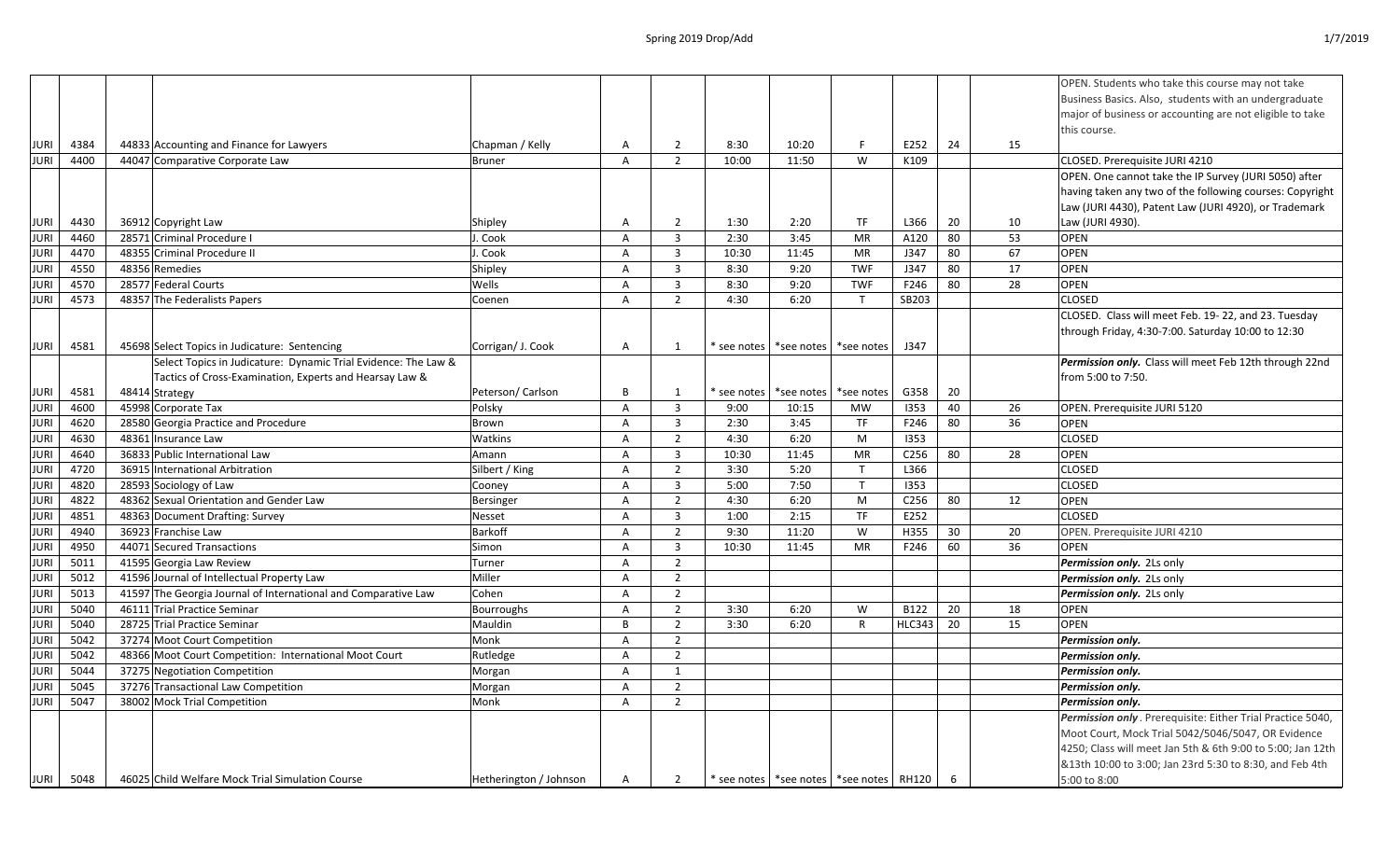|                   |      |                                                                |                        |                |                |               |            |                                               |                  |    |    | OPEN. Students who take this course may not take           |
|-------------------|------|----------------------------------------------------------------|------------------------|----------------|----------------|---------------|------------|-----------------------------------------------|------------------|----|----|------------------------------------------------------------|
|                   |      |                                                                |                        |                |                |               |            |                                               |                  |    |    | Business Basics. Also, students with an undergraduate      |
|                   |      |                                                                |                        |                |                |               |            |                                               |                  |    |    | major of business or accounting are not eligible to take   |
|                   |      |                                                                |                        |                |                |               |            |                                               |                  |    |    | this course.                                               |
| <b>JURI</b>       | 4384 | 44833 Accounting and Finance for Lawyers                       | Chapman / Kelly        | Α              | $\overline{2}$ | 8:30          | 10:20      | F                                             | E252             | 24 | 15 |                                                            |
| JURI <sup>1</sup> | 4400 | 44047 Comparative Corporate Law                                | <b>Bruner</b>          | $\mathsf{A}$   | $\overline{2}$ | 10:00         | 11:50      | W                                             | K109             |    |    | CLOSED. Prerequisite JURI 4210                             |
|                   |      |                                                                |                        |                |                |               |            |                                               |                  |    |    | OPEN. One cannot take the IP Survey (JURI 5050) after      |
|                   |      |                                                                |                        |                |                |               |            |                                               |                  |    |    | having taken any two of the following courses: Copyright   |
|                   |      |                                                                |                        |                |                |               |            |                                               |                  |    |    | Law (JURI 4430), Patent Law (JURI 4920), or Trademark      |
| <b>JURI</b>       | 4430 | 36912 Copyright Law                                            | Shipley                | A              | $\overline{2}$ | 1:30          | 2:20       | TF                                            | L366             | 20 | 10 | Law (JURI 4930).                                           |
| <b>JURI</b>       | 4460 | 28571 Criminal Procedure I                                     | . Cook                 | $\overline{A}$ | $\overline{3}$ | 2:30          | 3:45       | <b>MR</b>                                     | A120             | 80 | 53 | <b>OPEN</b>                                                |
| <b>JURI</b>       | 4470 | 48355 Criminal Procedure II                                    | J. Cook                | A              | $\overline{3}$ | 10:30         | 11:45      | MR                                            | J347             | 80 | 67 | <b>OPEN</b>                                                |
| <b>JURI</b>       | 4550 | 48356 Remedies                                                 | Shipley                | A              | $\overline{3}$ | 8:30          | 9:20       | <b>TWF</b>                                    | J347             | 80 | 17 | <b>OPEN</b>                                                |
| JURI              | 4570 | 28577 Federal Courts                                           | Wells                  | A              | $\overline{3}$ | 8:30          | 9:20       | <b>TWF</b>                                    | F246             | 80 | 28 | <b>OPEN</b>                                                |
| <b>JURI</b>       | 4573 | 48357 The Federalists Papers                                   | Coenen                 | A              | $\overline{2}$ | 4:30          | 6:20       | T                                             | SB203            |    |    | <b>CLOSED</b>                                              |
|                   |      |                                                                |                        |                |                |               |            |                                               |                  |    |    | CLOSED. Class will meet Feb. 19-22, and 23. Tuesday        |
|                   |      |                                                                |                        |                |                |               |            |                                               |                  |    |    | through Friday, 4:30-7:00. Saturday 10:00 to 12:30         |
| JURI              | 4581 | 45698 Select Topics in Judicature: Sentencing                  | Corrigan/ J. Cook      | Α              | 1              | * see notes l | *see notes | *see notes                                    | J347             |    |    |                                                            |
|                   |      | Select Topics in Judicature: Dynamic Trial Evidence: The Law & |                        |                |                |               |            |                                               |                  |    |    | Permission only. Class will meet Feb 12th through 22nd     |
|                   |      | Tactics of Cross-Examination, Experts and Hearsay Law &        |                        |                |                |               |            |                                               |                  |    |    | from 5:00 to 7:50.                                         |
| <b>JURI</b>       | 4581 | 48414 Strategy                                                 | Peterson/Carlson       | B              | 1              | * see notes   | *see notes | *see notes                                    | G358             | 20 |    |                                                            |
| <b>JURI</b>       | 4600 | 45998 Corporate Tax                                            | Polsky                 | A              | $\overline{3}$ | 9:00          | 10:15      | <b>MW</b>                                     | 1353             | 40 | 26 | OPEN. Prerequisite JURI 5120                               |
| <b>JURI</b>       | 4620 | 28580 Georgia Practice and Procedure                           | Brown                  | Α              | $\overline{3}$ | 2:30          | 3:45       | TF                                            | F246             | 80 | 36 | <b>OPEN</b>                                                |
| <b>JURI</b>       | 4630 | 48361 Insurance Law                                            | Watkins                | A              | 2              | 4:30          | 6:20       | M                                             | 1353             |    |    | <b>CLOSED</b>                                              |
| <b>JURI</b>       | 4640 | 36833 Public International Law                                 | Amann                  | Α              | $\overline{3}$ | 10:30         | 11:45      | <b>MR</b>                                     | C256             | 80 | 28 | <b>OPEN</b>                                                |
| <b>JURI</b>       | 4720 | 36915 International Arbitration                                | Silbert / King         | A              | $\overline{2}$ | 3:30          | 5:20       | $\mathsf{T}$                                  | L366             |    |    | <b>CLOSED</b>                                              |
| JURI              | 4820 | 28593 Sociology of Law                                         | Cooney                 | A              | $\overline{3}$ | 5:00          | 7:50       | $\mathsf{T}$                                  | 1353             |    |    | <b>CLOSED</b>                                              |
| <b>JURI</b>       | 4822 | 48362 Sexual Orientation and Gender Law                        | Bersinger              | Α              | 2              | 4:30          | 6:20       | M                                             | C <sub>256</sub> | 80 | 12 | <b>OPEN</b>                                                |
| <b>JURI</b>       | 4851 | 48363 Document Drafting: Survey                                | Nesset                 | A              | $\overline{3}$ | 1:00          | 2:15       | <b>TF</b>                                     | E252             |    |    | <b>CLOSED</b>                                              |
| <b>JURI</b>       | 4940 | 36923 Franchise Law                                            | Barkoff                | A              | 2              | 9:30          | 11:20      | W                                             | H355             | 30 | 20 | OPEN. Prerequisite JURI 4210                               |
| <b>JURI</b>       | 4950 | 44071 Secured Transactions                                     | Simon                  | A              | $\mathbf{3}$   | 10:30         | 11:45      | <b>MR</b>                                     | F246             | 60 | 36 | <b>OPEN</b>                                                |
| <b>JURI</b>       | 5011 | 41595 Georgia Law Review                                       | Turner                 | A              | 2              |               |            |                                               |                  |    |    | Permission only. 2Ls only                                  |
| <b>JURI</b>       | 5012 | 41596 Journal of Intellectual Property Law                     | Miller                 | A              | $\overline{2}$ |               |            |                                               |                  |    |    | Permission only. 2Ls only                                  |
| <b>JURI</b>       | 5013 | 41597 The Georgia Journal of International and Comparative Law | Cohen                  | A              | 2              |               |            |                                               |                  |    |    | Permission only. 2Ls only                                  |
| <b>JURI</b>       | 5040 | 46111 Trial Practice Seminar                                   | <b>Bourroughs</b>      | A              | 2              | 3:30          | 6:20       | W                                             | B122             | 20 | 18 | <b>OPEN</b>                                                |
| JURI              | 5040 | 28725 Trial Practice Seminar                                   | Mauldin                | B              | $\overline{2}$ | 3:30          | 6:20       | R                                             | HLC343           | 20 | 15 | <b>OPEN</b>                                                |
| <b>JURI</b>       | 5042 | 37274 Moot Court Competition                                   | Monk                   | $\mathsf{A}$   | 2              |               |            |                                               |                  |    |    | Permission only.                                           |
| <b>JURI</b>       | 5042 | 48366 Moot Court Competition: International Moot Court         | Rutledge               | Α              | $\overline{2}$ |               |            |                                               |                  |    |    | Permission only.                                           |
| <b>JURI</b>       | 5044 | 37275 Negotiation Competition                                  | Morgan                 | Α              | $\mathbf{1}$   |               |            |                                               |                  |    |    | Permission only.                                           |
| <b>JURI</b>       | 5045 | 37276 Transactional Law Competition                            | Morgan                 | A              | $\overline{2}$ |               |            |                                               |                  |    |    | Permission only.                                           |
| <b>JURI</b>       | 5047 | 38002 Mock Trial Competition                                   | Monk                   | A              | 2              |               |            |                                               |                  |    |    | Permission only.                                           |
|                   |      |                                                                |                        |                |                |               |            |                                               |                  |    |    | Permission only. Prerequisite: Either Trial Practice 5040, |
|                   |      |                                                                |                        |                |                |               |            |                                               |                  |    |    | Moot Court, Mock Trial 5042/5046/5047, OR Evidence         |
|                   |      |                                                                |                        |                |                |               |            |                                               |                  |    |    | 4250; Class will meet Jan 5th & 6th 9:00 to 5:00; Jan 12th |
|                   |      |                                                                |                        |                |                |               |            |                                               |                  |    |    | &13th 10:00 to 3:00; Jan 23rd 5:30 to 8:30, and Feb 4th    |
| <b>JURI</b>       | 5048 | 46025 Child Welfare Mock Trial Simulation Course               | Hetherington / Johnson | A              | $\overline{2}$ |               |            | * see notes   *see notes   *see notes   RH120 |                  | 6  |    | 5:00 to 8:00                                               |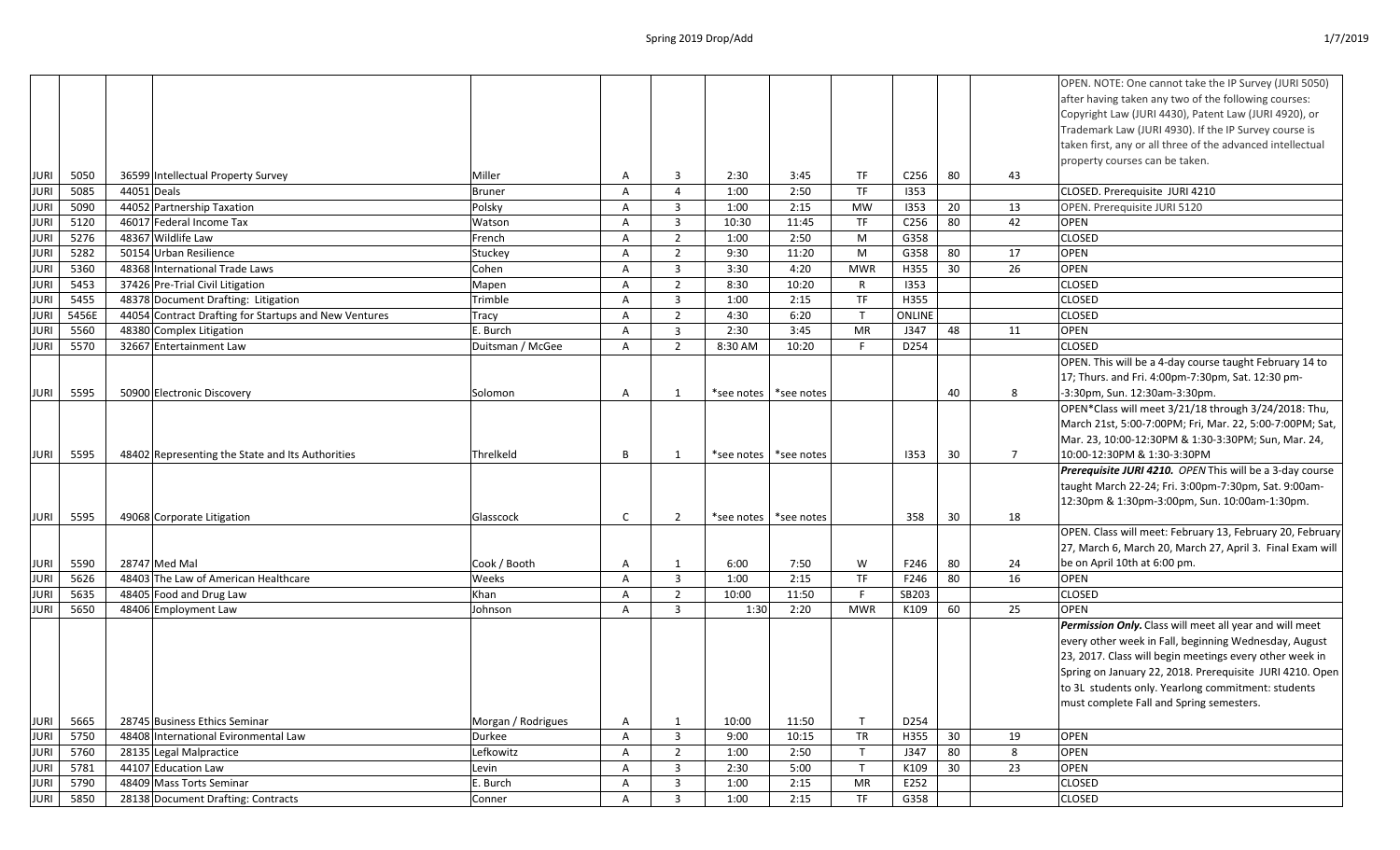|             |       |             |                                                       |                    |              |                |            |            |              |                  |    |             | OPEN. NOTE: One cannot take the IP Survey (JURI 5050)      |
|-------------|-------|-------------|-------------------------------------------------------|--------------------|--------------|----------------|------------|------------|--------------|------------------|----|-------------|------------------------------------------------------------|
|             |       |             |                                                       |                    |              |                |            |            |              |                  |    |             | after having taken any two of the following courses:       |
|             |       |             |                                                       |                    |              |                |            |            |              |                  |    |             | Copyright Law (JURI 4430), Patent Law (JURI 4920), or      |
|             |       |             |                                                       |                    |              |                |            |            |              |                  |    |             | Trademark Law (JURI 4930). If the IP Survey course is      |
|             |       |             |                                                       |                    |              |                |            |            |              |                  |    |             | taken first, any or all three of the advanced intellectual |
|             |       |             |                                                       |                    |              |                |            |            |              |                  |    |             | property courses can be taken.                             |
| JURI        | 5050  |             | 36599 Intellectual Property Survey                    | Miller             | A            | 3              | 2:30       | 3:45       | TF           | C <sub>256</sub> | 80 | 43          |                                                            |
| <b>JURI</b> | 5085  | 44051 Deals |                                                       | <b>Bruner</b>      | A            | $\overline{4}$ | 1:00       | 2:50       | <b>TF</b>    | 1353             |    |             | CLOSED. Prerequisite JURI 4210                             |
| <b>JURI</b> | 5090  |             | 44052 Partnership Taxation                            | Polsky             | A            | 3              | 1:00       | 2:15       | <b>MW</b>    | 1353             | 20 | 13          | OPEN. Prerequisite JURI 5120                               |
| <b>JURI</b> | 5120  |             | 46017 Federal Income Tax                              | Watson             | A            | $\overline{3}$ | 10:30      | 11:45      | TF           | C <sub>256</sub> | 80 | 42          | <b>OPEN</b>                                                |
| <b>JURI</b> | 5276  |             | 48367 Wildlife Law                                    | French             | A            | $\overline{2}$ | 1:00       | 2:50       | M            | G358             |    |             | <b>CLOSED</b>                                              |
| <b>JURI</b> | 5282  |             | 50154 Urban Resilience                                | Stuckey            | A            | $\overline{2}$ | 9:30       | 11:20      | M            | G358             | 80 | 17          | <b>OPEN</b>                                                |
| JURI        | 5360  |             | 48368 International Trade Laws                        | Cohen              | A            | 3              | 3:30       | 4:20       | <b>MWR</b>   | H355             | 30 | 26          | <b>OPEN</b>                                                |
| JURI        | 5453  |             | 37426 Pre-Trial Civil Litigation                      | Mapen              | A            | $\overline{2}$ | 8:30       | 10:20      | R            | 1353             |    |             | <b>CLOSED</b>                                              |
| <b>JURI</b> | 5455  |             | 48378 Document Drafting: Litigation                   | Trimble            | A            | 3              | 1:00       | 2:15       | TF           | H355             |    |             | <b>CLOSED</b>                                              |
| <b>JURI</b> | 5456E |             | 44054 Contract Drafting for Startups and New Ventures | Tracy              | A            | $\overline{2}$ | 4:30       | 6:20       | $\mathsf{T}$ | ONLINE           |    |             | <b>CLOSED</b>                                              |
| JURI        | 5560  |             | 48380 Complex Litigation                              | E. Burch           | A            | 3              | 2:30       | 3:45       | MR           | J347             | 48 | 11          | <b>OPEN</b>                                                |
| JURI        | 5570  |             | 32667 Entertainment Law                               | Duitsman / McGee   | A            | $\overline{2}$ | 8:30 AM    | 10:20      | F.           | D254             |    |             | <b>CLOSED</b>                                              |
|             |       |             |                                                       |                    |              |                |            |            |              |                  |    |             | OPEN. This will be a 4-day course taught February 14 to    |
|             |       |             |                                                       |                    |              |                |            |            |              |                  |    |             | 17; Thurs. and Fri. 4:00pm-7:30pm, Sat. 12:30 pm-          |
| JURI        | 5595  |             | 50900 Electronic Discovery                            | Solomon            | A            | $\mathbf{1}$   | *see notes | *see notes |              |                  | 40 | 8           | -3:30pm, Sun. 12:30am-3:30pm.                              |
|             |       |             |                                                       |                    |              |                |            |            |              |                  |    |             | OPEN*Class will meet 3/21/18 through 3/24/2018: Thu,       |
|             |       |             |                                                       |                    |              |                |            |            |              |                  |    |             | March 21st, 5:00-7:00PM; Fri, Mar. 22, 5:00-7:00PM; Sat,   |
|             |       |             |                                                       |                    |              |                |            |            |              |                  |    |             | Mar. 23, 10:00-12:30PM & 1:30-3:30PM; Sun, Mar. 24,        |
| <b>JURI</b> | 5595  |             | 48402 Representing the State and Its Authorities      | Threlkeld          | B            | 1              | *see notes | *see notes |              | 1353             | 30 | $7^{\circ}$ | 10:00-12:30PM & 1:30-3:30PM                                |
|             |       |             |                                                       |                    |              |                |            |            |              |                  |    |             | Prerequisite JURI 4210. OPEN This will be a 3-day course   |
|             |       |             |                                                       |                    |              |                |            |            |              |                  |    |             | taught March 22-24; Fri. 3:00pm-7:30pm, Sat. 9:00am-       |
|             |       |             |                                                       |                    |              |                |            |            |              |                  |    |             | 12:30pm & 1:30pm-3:00pm, Sun. 10:00am-1:30pm.              |
| <b>JURI</b> | 5595  |             | 49068 Corporate Litigation                            | Glasscock          | C            | $\overline{2}$ | *see notes | *see notes |              | 358              | 30 | 18          |                                                            |
|             |       |             |                                                       |                    |              |                |            |            |              |                  |    |             | OPEN. Class will meet: February 13, February 20, February  |
|             |       |             |                                                       |                    |              |                |            |            |              |                  |    |             | 27, March 6, March 20, March 27, April 3. Final Exam will  |
| <b>JURI</b> | 5590  |             | 28747 Med Mal                                         | Cook / Booth       | A            | 1              | 6:00       | 7:50       | W            | F246             | 80 | 24          | be on April 10th at 6:00 pm.                               |
| <b>JURI</b> | 5626  |             | 48403 The Law of American Healthcare                  | Weeks              | A            | $\overline{3}$ | 1:00       | 2:15       | TF           | F246             | 80 | 16          | <b>OPEN</b>                                                |
| <b>JURI</b> | 5635  |             | 48405 Food and Drug Law                               | Khan               | A            | $\overline{2}$ | 10:00      | 11:50      | F            | SB203            |    |             | <b>CLOSED</b>                                              |
| <b>JURI</b> | 5650  |             | 48406 Employment Law                                  | Johnson            | A            | 3              | 1:30       | 2:20       | <b>MWR</b>   | K109             | 60 | 25          | <b>OPEN</b>                                                |
|             |       |             |                                                       |                    |              |                |            |            |              |                  |    |             | Permission Only. Class will meet all year and will meet    |
|             |       |             |                                                       |                    |              |                |            |            |              |                  |    |             | every other week in Fall, beginning Wednesday, August      |
|             |       |             |                                                       |                    |              |                |            |            |              |                  |    |             | 23, 2017. Class will begin meetings every other week in    |
|             |       |             |                                                       |                    |              |                |            |            |              |                  |    |             | Spring on January 22, 2018. Prerequisite JURI 4210. Open   |
|             |       |             |                                                       |                    |              |                |            |            |              |                  |    |             | to 3L students only. Yearlong commitment: students         |
|             |       |             |                                                       |                    |              |                |            |            |              |                  |    |             | must complete Fall and Spring semesters.                   |
| <b>JURI</b> | 5665  |             | 28745 Business Ethics Seminar                         | Morgan / Rodrigues | A            | 1              | 10:00      | 11:50      | $\mathsf{T}$ | D254             |    |             |                                                            |
| <b>JURI</b> | 5750  |             | 48408 International Evironmental Law                  | Durkee             | $\mathsf{A}$ | $\overline{3}$ | 9:00       | 10:15      | <b>TR</b>    | H355             | 30 | 19          | <b>OPEN</b>                                                |
| <b>JURI</b> | 5760  |             | 28135 Legal Malpractice                               | Lefkowitz          | A            | $\overline{2}$ | 1:00       | 2:50       | T            | J347             | 80 | 8           | <b>OPEN</b>                                                |
| <b>JURI</b> | 5781  |             | 44107 Education Law                                   | Levin              | A            | 3              | 2:30       | 5:00       | $\mathsf{T}$ | K109             | 30 | 23          | OPEN                                                       |
| JURI        | 5790  |             | 48409 Mass Torts Seminar                              | E. Burch           | A            | 3              | 1:00       | 2:15       | MR           | E252             |    |             | CLOSED                                                     |
| <b>JURI</b> | 5850  |             | 28138 Document Drafting: Contracts                    | Conner             | A            | 3              | 1:00       | 2:15       | <b>TF</b>    | G358             |    |             | <b>CLOSED</b>                                              |
|             |       |             |                                                       |                    |              |                |            |            |              |                  |    |             |                                                            |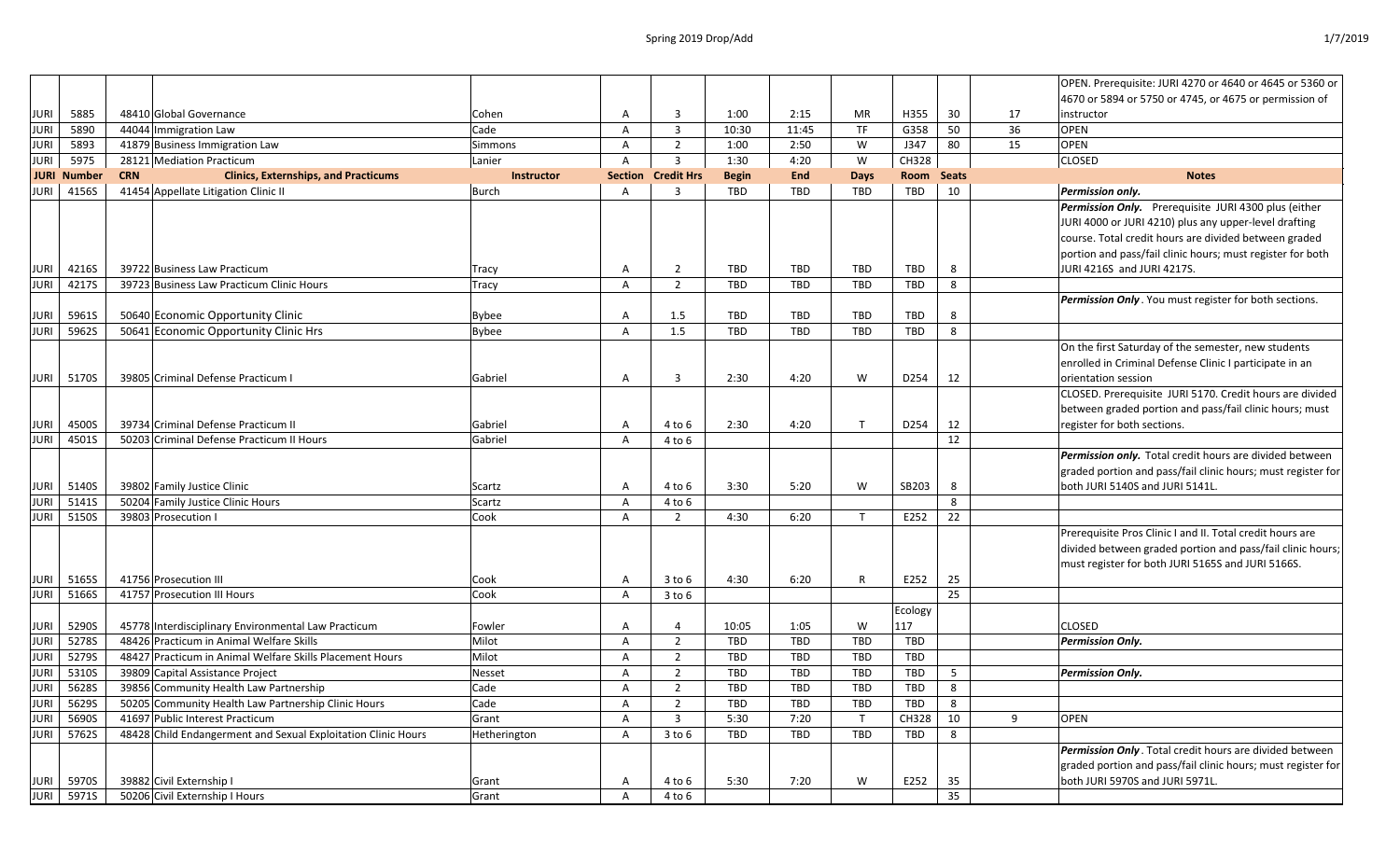## Spring 2019 Drop/Add 1/7/2019

|             |                    |            |                                                               |                |   |                           |              |            |              |            |              |    | OPEN. Prerequisite: JURI 4270 or 4640 or 4645 or 5360 or     |
|-------------|--------------------|------------|---------------------------------------------------------------|----------------|---|---------------------------|--------------|------------|--------------|------------|--------------|----|--------------------------------------------------------------|
|             |                    |            |                                                               |                |   |                           |              |            |              |            |              |    | 4670 or 5894 or 5750 or 4745, or 4675 or permission of       |
| <b>JURI</b> | 5885               |            | 48410 Global Governance                                       | Cohen          | A | 3                         | 1:00         | 2:15       | МR           | H355       | 30           | 17 | instructor                                                   |
| <b>JURI</b> | 5890               |            | 44044 Immigration Law                                         | Cade           | A | $\mathbf{3}$              | 10:30        | 11:45      | <b>TF</b>    | G358       | 50           | 36 | <b>OPEN</b>                                                  |
| <b>JURI</b> | 5893               |            | 41879 Business Immigration Law                                | <b>Simmons</b> | A | $\overline{2}$            | 1:00         | 2:50       | W            | J347       | 80           | 15 | <b>OPEN</b>                                                  |
| <b>JURI</b> | 5975               |            | 28121 Mediation Practicum                                     | Lanier         | A | 3                         | 1:30         | 4:20       | W            | CH328      |              |    | <b>CLOSED</b>                                                |
|             | <b>JURI Number</b> | <b>CRN</b> | <b>Clinics, Externships, and Practicums</b>                   | Instructor     |   | <b>Section Credit Hrs</b> | <b>Begin</b> | <b>End</b> | <b>Days</b>  | Room       | <b>Seats</b> |    | <b>Notes</b>                                                 |
| <b>JURI</b> | 4156S              |            | 41454 Appellate Litigation Clinic II                          | Burch          | A | 3                         | TBD          | <b>TBD</b> | TBD          | TBD        | 10           |    | Permission only.                                             |
|             |                    |            |                                                               |                |   |                           |              |            |              |            |              |    | Permission Only. Prerequisite JURI 4300 plus (either         |
|             |                    |            |                                                               |                |   |                           |              |            |              |            |              |    | JURI 4000 or JURI 4210) plus any upper-level drafting        |
|             |                    |            |                                                               |                |   |                           |              |            |              |            |              |    | course. Total credit hours are divided between graded        |
|             |                    |            |                                                               |                |   |                           |              |            |              |            |              |    | portion and pass/fail clinic hours; must register for both   |
| <b>JURI</b> | 4216S              |            | 39722 Business Law Practicum                                  | Tracy          | A | 2                         | TBD          | TBD        | TBD          | TBD        | 8            |    | JURI 4216S and JURI 4217S.                                   |
| <b>JURI</b> | 4217S              |            | 39723 Business Law Practicum Clinic Hours                     | Tracy          | A | 2                         | TBD          | <b>TBD</b> | <b>TBD</b>   | TBD        | 8            |    |                                                              |
|             |                    |            |                                                               |                |   |                           |              |            |              |            |              |    | Permission Only. You must register for both sections.        |
| JURI        | 5961S              |            | 50640 Economic Opportunity Clinic                             | <b>Bybee</b>   | A | 1.5                       | TBD          | <b>TBD</b> | TBD          | <b>TBD</b> | 8            |    |                                                              |
| <b>JURI</b> | 5962S              |            | 50641 Economic Opportunity Clinic Hrs                         | <b>Bybee</b>   | A | 1.5                       | TBD          | <b>TBD</b> | <b>TBD</b>   | TBD        | 8            |    |                                                              |
|             |                    |            |                                                               |                |   |                           |              |            |              |            |              |    | On the first Saturday of the semester, new students          |
|             |                    |            |                                                               |                |   |                           |              |            |              |            |              |    | enrolled in Criminal Defense Clinic I participate in an      |
| <b>JURI</b> | 5170S              |            | 39805 Criminal Defense Practicum                              | Gabriel        | A | 3                         | 2:30         | 4:20       | W            | D254       | 12           |    | orientation session                                          |
|             |                    |            |                                                               |                |   |                           |              |            |              |            |              |    | CLOSED. Prerequisite JURI 5170. Credit hours are divided     |
|             |                    |            |                                                               |                |   |                           |              |            |              |            |              |    | between graded portion and pass/fail clinic hours; must      |
| JURI        | 4500S              |            | 39734 Criminal Defense Practicum II                           | Gabriel        | A | 4 to 6                    | 2:30         | 4:20       | $\mathsf{T}$ | D254       | 12           |    | register for both sections.                                  |
| <b>JURI</b> | 4501S              |            | 50203 Criminal Defense Practicum II Hours                     | Gabriel        | A | 4 to 6                    |              |            |              |            | $12\,$       |    |                                                              |
|             |                    |            |                                                               |                |   |                           |              |            |              |            |              |    | Permission only. Total credit hours are divided between      |
|             |                    |            |                                                               |                |   |                           |              |            |              |            |              |    | graded portion and pass/fail clinic hours; must register for |
| <b>JURI</b> | 5140S              |            | 39802 Family Justice Clinic                                   | Scartz         | A | 4 to 6                    | 3:30         | 5:20       | W            | SB203      | 8            |    | both JURI 5140S and JURI 5141L.                              |
| <b>JURI</b> | 5141S              |            | 50204 Family Justice Clinic Hours                             | Scartz         | A | 4 to 6                    |              |            |              |            | 8            |    |                                                              |
| <b>JURI</b> | 5150S              |            | 39803 Prosecution I                                           | Cook           | A | 2                         | 4:30         | 6:20       | $\mathsf{T}$ | E252       | 22           |    |                                                              |
|             |                    |            |                                                               |                |   |                           |              |            |              |            |              |    | Prerequisite Pros Clinic I and II. Total credit hours are    |
|             |                    |            |                                                               |                |   |                           |              |            |              |            |              |    | divided between graded portion and pass/fail clinic hours;   |
|             |                    |            |                                                               |                |   |                           |              |            |              |            |              |    | must register for both JURI 5165S and JURI 5166S.            |
| <b>JURI</b> | 5165S              |            | 41756 Prosecution III                                         | Cook           | A | $3$ to $6$                | 4:30         | 6:20       | R            | E252       | 25           |    |                                                              |
| JURI        | 5166S              |            | 41757 Prosecution III Hours                                   | Cook           | A | $3$ to $6$                |              |            |              |            | 25           |    |                                                              |
|             |                    |            |                                                               |                |   |                           |              |            |              | Ecology    |              |    |                                                              |
| <b>JURI</b> | 5290S              |            | 45778 Interdisciplinary Environmental Law Practicum           | Fowler         | A |                           | 10:05        | 1:05       | W            | 117        |              |    | <b>CLOSED</b>                                                |
| JURI        | 5278S              |            | 48426 Practicum in Animal Welfare Skills                      | Milot          | A | $\overline{2}$            | TBD          | <b>TBD</b> | <b>TBD</b>   | TBD        |              |    | <b>Permission Only.</b>                                      |
| <b>JURI</b> | 5279S              |            | 48427 Practicum in Animal Welfare Skills Placement Hours      | Milot          | A | $\overline{\phantom{a}}$  | TBD          | TBD        | TBD          | TBD        |              |    |                                                              |
| JURI        | 5310S              |            | 39809 Capital Assistance Project                              | Nesset         | A | $\overline{2}$            | TBD          | <b>TBD</b> | <b>TBD</b>   | TBD        | 5            |    | <b>Permission Only.</b>                                      |
| <b>JURI</b> | 5628S              |            | 39856 Community Health Law Partnership                        | Cade           | A | $\overline{2}$            | TBD          | <b>TBD</b> | <b>TBD</b>   | TBD        | 8            |    |                                                              |
| <b>JURI</b> | 5629S              |            | 50205 Community Health Law Partnership Clinic Hours           | Cade           | A | 2                         | TBD          | <b>TBD</b> | <b>TBD</b>   | TBD        | 8            |    |                                                              |
| JURI        | 5690S              |            | 41697 Public Interest Practicum                               | Grant          | A | 3                         | 5:30         | 7:20       | T            | CH328      | 10           | 9  | <b>OPEN</b>                                                  |
| <b>JURI</b> | 5762S              |            | 48428 Child Endangerment and Sexual Exploitation Clinic Hours | Hetherington   | A | $3$ to $6$                | TBD          | TBD        | <b>TBD</b>   | TBD        | 8            |    |                                                              |
|             |                    |            |                                                               |                |   |                           |              |            |              |            |              |    | Permission Only. Total credit hours are divided between      |
|             |                    |            |                                                               |                |   |                           |              |            |              |            |              |    | graded portion and pass/fail clinic hours; must register for |
| <b>JURI</b> | 5970S              |            | 39882 Civil Externship I                                      | Grant          | A | 4 to 6                    | 5:30         | 7:20       | W            | E252       | 35           |    | both JURI 5970S and JURI 5971L.                              |
| <b>JURI</b> | 5971S              |            | 50206 Civil Externship I Hours                                | Grant          | Α | 4 to 6                    |              |            |              |            | 35           |    |                                                              |